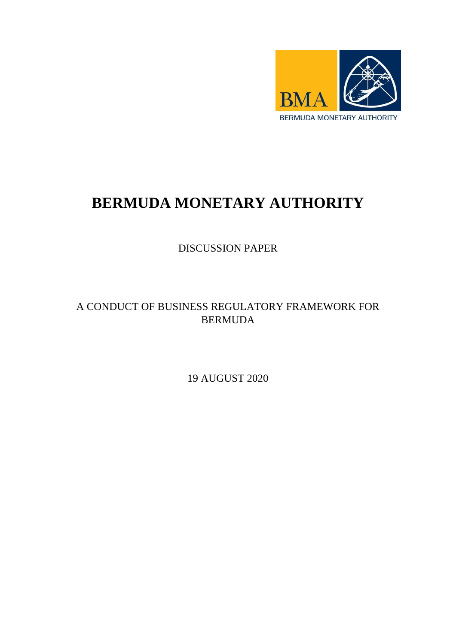

# **BERMUDA MONETARY AUTHORITY**

DISCUSSION PAPER

## A CONDUCT OF BUSINESS REGULATORY FRAMEWORK FOR BERMUDA

19 AUGUST 2020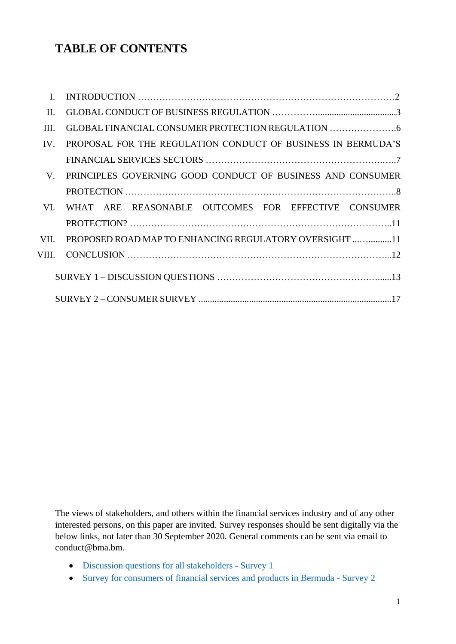## **TABLE OF CONTENTS**

| $\mathbf{I}$ . |                                                              |
|----------------|--------------------------------------------------------------|
| II.            |                                                              |
| III.           |                                                              |
| IV.            | PROPOSAL FOR THE REGULATION CONDUCT OF BUSINESS IN BERMUDA'S |
|                |                                                              |
| V.             | PRINCIPLES GOVERNING GOOD CONDUCT OF BUSINESS AND CONSUMER   |
|                |                                                              |
| VI.            | WHAT ARE REASONABLE OUTCOMES FOR EFFECTIVE CONSUMER          |
|                |                                                              |
| VII.           | PROPOSED ROAD MAP TO ENHANCING REGULATORY OVERSIGHT  11      |
|                |                                                              |
|                |                                                              |
|                |                                                              |

The views of stakeholders, and others within the financial services industry and of any other interested persons, on this paper are invited. Survey responses should be sent digitally via the below links, not later than 30 September 2020. General comments can be sent via email to conduct@bma.bm.

- Discussion [questions for all stakeholders](https://www.surveymonkey.com/r/FQZYYMT) Survey 1
- [Survey for consumers of financial services and products in Bermuda](https://www.surveymonkey.com/r/GSK8LW2) Survey 2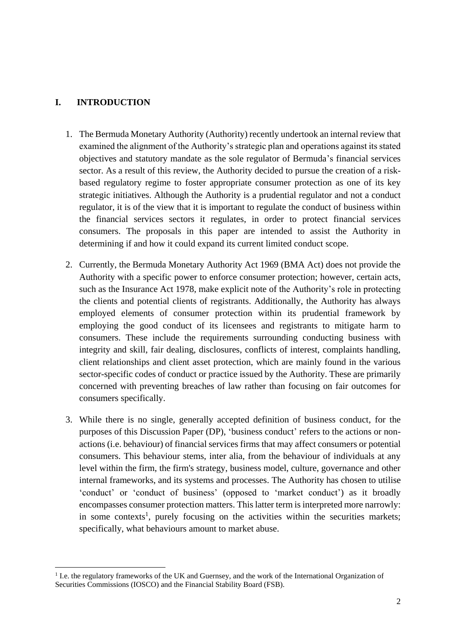## **I. INTRODUCTION**

1

- 1. The Bermuda Monetary Authority (Authority) recently undertook an internal review that examined the alignment of the Authority's strategic plan and operations against its stated objectives and statutory mandate as the sole regulator of Bermuda's financial services sector. As a result of this review, the Authority decided to pursue the creation of a riskbased regulatory regime to foster appropriate consumer protection as one of its key strategic initiatives. Although the Authority is a prudential regulator and not a conduct regulator, it is of the view that it is important to regulate the conduct of business within the financial services sectors it regulates, in order to protect financial services consumers. The proposals in this paper are intended to assist the Authority in determining if and how it could expand its current limited conduct scope.
- 2. Currently, the Bermuda Monetary Authority Act 1969 (BMA Act) does not provide the Authority with a specific power to enforce consumer protection; however, certain acts, such as the Insurance Act 1978, make explicit note of the Authority's role in protecting the clients and potential clients of registrants. Additionally, the Authority has always employed elements of consumer protection within its prudential framework by employing the good conduct of its licensees and registrants to mitigate harm to consumers. These include the requirements surrounding conducting business with integrity and skill, fair dealing, disclosures, conflicts of interest, complaints handling, client relationships and client asset protection, which are mainly found in the various sector-specific codes of conduct or practice issued by the Authority. These are primarily concerned with preventing breaches of law rather than focusing on fair outcomes for consumers specifically.
- 3. While there is no single, generally accepted definition of business conduct, for the purposes of this Discussion Paper (DP), 'business conduct' refers to the actions or nonactions (i.e. behaviour) of financial services firms that may affect consumers or potential consumers. This behaviour stems, inter alia, from the behaviour of individuals at any level within the firm, the firm's strategy, business model, culture, governance and other internal frameworks, and its systems and processes. The Authority has chosen to utilise 'conduct' or 'conduct of business' (opposed to 'market conduct') as it broadly encompasses consumer protection matters. This latter term is interpreted more narrowly: in some contexts<sup>1</sup>, purely focusing on the activities within the securities markets; specifically, what behaviours amount to market abuse.

<sup>&</sup>lt;sup>1</sup> I.e. the regulatory frameworks of the UK and Guernsey, and the work of the International Organization of Securities Commissions (IOSCO) and the Financial Stability Board (FSB).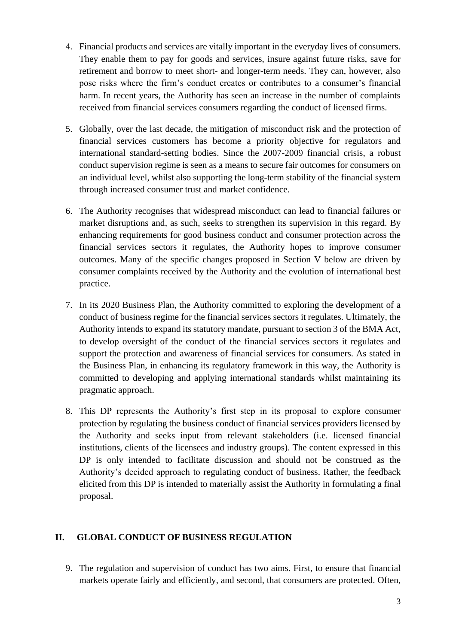- 4. Financial products and services are vitally important in the everyday lives of consumers. They enable them to pay for goods and services, insure against future risks, save for retirement and borrow to meet short- and longer-term needs. They can, however, also pose risks where the firm's conduct creates or contributes to a consumer's financial harm. In recent years, the Authority has seen an increase in the number of complaints received from financial services consumers regarding the conduct of licensed firms.
- 5. Globally, over the last decade, the mitigation of misconduct risk and the protection of financial services customers has become a priority objective for regulators and international standard-setting bodies. Since the 2007-2009 financial crisis, a robust conduct supervision regime is seen as a means to secure fair outcomes for consumers on an individual level, whilst also supporting the long-term stability of the financial system through increased consumer trust and market confidence.
- 6. The Authority recognises that widespread misconduct can lead to financial failures or market disruptions and, as such, seeks to strengthen its supervision in this regard. By enhancing requirements for good business conduct and consumer protection across the financial services sectors it regulates, the Authority hopes to improve consumer outcomes. Many of the specific changes proposed in Section V below are driven by consumer complaints received by the Authority and the evolution of international best practice.
- 7. In its 2020 Business Plan, the Authority committed to exploring the development of a conduct of business regime for the financial services sectors it regulates. Ultimately, the Authority intends to expand its statutory mandate, pursuant to section 3 of the BMA Act, to develop oversight of the conduct of the financial services sectors it regulates and support the protection and awareness of financial services for consumers. As stated in the Business Plan, in enhancing its regulatory framework in this way, the Authority is committed to developing and applying international standards whilst maintaining its pragmatic approach.
- 8. This DP represents the Authority's first step in its proposal to explore consumer protection by regulating the business conduct of financial services providers licensed by the Authority and seeks input from relevant stakeholders (i.e. licensed financial institutions, clients of the licensees and industry groups). The content expressed in this DP is only intended to facilitate discussion and should not be construed as the Authority's decided approach to regulating conduct of business. Rather, the feedback elicited from this DP is intended to materially assist the Authority in formulating a final proposal.

### **II. GLOBAL CONDUCT OF BUSINESS REGULATION**

9. The regulation and supervision of conduct has two aims. First, to ensure that financial markets operate fairly and efficiently, and second, that consumers are protected. Often,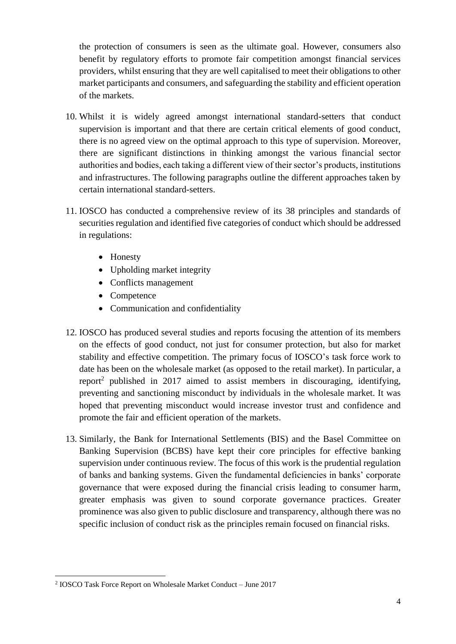the protection of consumers is seen as the ultimate goal. However, consumers also benefit by regulatory efforts to promote fair competition amongst financial services providers, whilst ensuring that they are well capitalised to meet their obligations to other market participants and consumers, and safeguarding the stability and efficient operation of the markets.

- 10. Whilst it is widely agreed amongst international standard-setters that conduct supervision is important and that there are certain critical elements of good conduct, there is no agreed view on the optimal approach to this type of supervision. Moreover, there are significant distinctions in thinking amongst the various financial sector authorities and bodies, each taking a different view of their sector's products, institutions and infrastructures. The following paragraphs outline the different approaches taken by certain international standard-setters.
- 11. IOSCO has conducted a comprehensive review of its 38 principles and standards of securities regulation and identified five categories of conduct which should be addressed in regulations:
	- Honesty
	- Upholding market integrity
	- Conflicts management
	- Competence
	- Communication and confidentiality
- 12. IOSCO has produced several studies and reports focusing the attention of its members on the effects of good conduct, not just for consumer protection, but also for market stability and effective competition. The primary focus of IOSCO's task force work to date has been on the wholesale market (as opposed to the retail market). In particular, a report<sup>2</sup> published in 2017 aimed to assist members in discouraging, identifying, preventing and sanctioning misconduct by individuals in the wholesale market. It was hoped that preventing misconduct would increase investor trust and confidence and promote the fair and efficient operation of the markets.
- 13. Similarly, the Bank for International Settlements (BIS) and the Basel Committee on Banking Supervision (BCBS) have kept their core principles for effective banking supervision under continuous review. The focus of this work is the prudential regulation of banks and banking systems. Given the fundamental deficiencies in banks' corporate governance that were exposed during the financial crisis leading to consumer harm, greater emphasis was given to sound corporate governance practices. Greater prominence was also given to public disclosure and transparency, although there was no specific inclusion of conduct risk as the principles remain focused on financial risks.

**.** 

<sup>2</sup> IOSCO Task Force Report on Wholesale Market Conduct – June 2017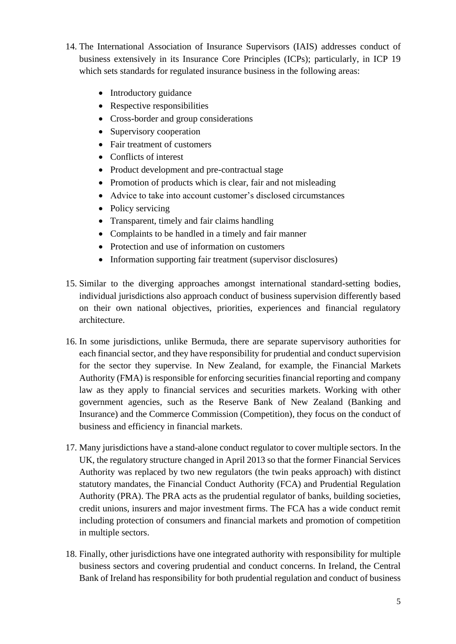- 14. The International Association of Insurance Supervisors (IAIS) addresses conduct of business extensively in its Insurance Core Principles (ICPs); particularly, in ICP 19 which sets standards for regulated insurance business in the following areas:
	- Introductory guidance
	- Respective responsibilities
	- Cross-border and group considerations
	- Supervisory cooperation
	- Fair treatment of customers
	- Conflicts of interest
	- Product development and pre-contractual stage
	- Promotion of products which is clear, fair and not misleading
	- Advice to take into account customer's disclosed circumstances
	- Policy servicing
	- Transparent, timely and fair claims handling
	- Complaints to be handled in a timely and fair manner
	- Protection and use of information on customers
	- Information supporting fair treatment (supervisor disclosures)
- 15. Similar to the diverging approaches amongst international standard-setting bodies, individual jurisdictions also approach conduct of business supervision differently based on their own national objectives, priorities, experiences and financial regulatory architecture.
- 16. In some jurisdictions, unlike Bermuda, there are separate supervisory authorities for each financial sector, and they have responsibility for prudential and conduct supervision for the sector they supervise. In New Zealand, for example, the Financial Markets Authority (FMA) is responsible for enforcing securities financial reporting and company law as they apply to financial services and securities markets. Working with other government agencies, such as the Reserve Bank of New Zealand (Banking and Insurance) and the Commerce Commission (Competition), they focus on the conduct of business and efficiency in financial markets.
- 17. Many jurisdictions have a stand-alone conduct regulator to cover multiple sectors. In the UK, the regulatory structure changed in April 2013 so that the former Financial Services Authority was replaced by two new regulators (the twin peaks approach) with distinct statutory mandates, the Financial Conduct Authority (FCA) and Prudential Regulation Authority (PRA). The PRA acts as the prudential regulator of banks, building societies, credit unions, insurers and major investment firms. The FCA has a wide conduct remit including protection of consumers and financial markets and promotion of competition in multiple sectors.
- 18. Finally, other jurisdictions have one integrated authority with responsibility for multiple business sectors and covering prudential and conduct concerns. In Ireland, the Central Bank of Ireland has responsibility for both prudential regulation and conduct of business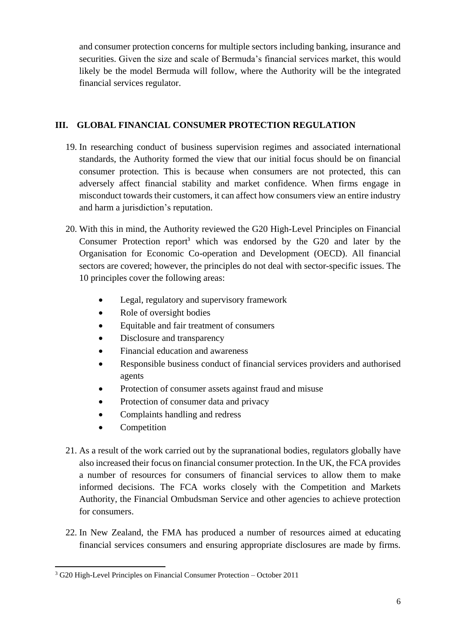and consumer protection concerns for multiple sectors including banking, insurance and securities. Given the size and scale of Bermuda's financial services market, this would likely be the model Bermuda will follow, where the Authority will be the integrated financial services regulator.

## **III. GLOBAL FINANCIAL CONSUMER PROTECTION REGULATION**

- 19. In researching conduct of business supervision regimes and associated international standards, the Authority formed the view that our initial focus should be on financial consumer protection. This is because when consumers are not protected, this can adversely affect financial stability and market confidence. When firms engage in misconduct towards their customers, it can affect how consumers view an entire industry and harm a jurisdiction's reputation.
- 20. With this in mind, the Authority reviewed the G20 High-Level Principles on Financial Consumer Protection report<sup>3</sup> which was endorsed by the G20 and later by the Organisation for Economic Co-operation and Development (OECD). All financial sectors are covered; however, the principles do not deal with sector-specific issues. The 10 principles cover the following areas:
	- Legal, regulatory and supervisory framework
	- Role of oversight bodies
	- Equitable and fair treatment of consumers
	- Disclosure and transparency
	- Financial education and awareness
	- Responsible business conduct of financial services providers and authorised agents
	- Protection of consumer assets against fraud and misuse
	- Protection of consumer data and privacy
	- Complaints handling and redress
	- Competition
- 21. As a result of the work carried out by the supranational bodies, regulators globally have also increased their focus on financial consumer protection. In the UK, the FCA provides a number of resources for consumers of financial services to allow them to make informed decisions. The FCA works closely with the Competition and Markets Authority, the Financial Ombudsman Service and other agencies to achieve protection for consumers.
- 22. In New Zealand, the FMA has produced a number of resources aimed at educating financial services consumers and ensuring appropriate disclosures are made by firms.

**<sup>.</sup>** <sup>3</sup> G20 High-Level Principles on Financial Consumer Protection – October 2011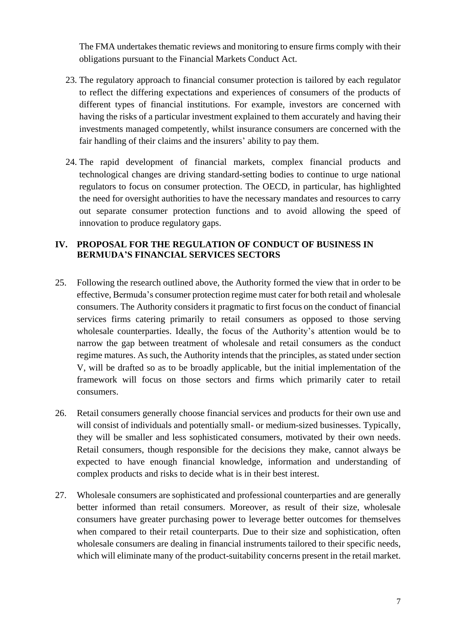The FMA undertakes thematic reviews and monitoring to ensure firms comply with their obligations pursuant to the Financial Markets Conduct Act.

- 23. The regulatory approach to financial consumer protection is tailored by each regulator to reflect the differing expectations and experiences of consumers of the products of different types of financial institutions. For example, investors are concerned with having the risks of a particular investment explained to them accurately and having their investments managed competently, whilst insurance consumers are concerned with the fair handling of their claims and the insurers' ability to pay them.
- 24. The rapid development of financial markets, complex financial products and technological changes are driving standard-setting bodies to continue to urge national regulators to focus on consumer protection. The OECD, in particular, has highlighted the need for oversight authorities to have the necessary mandates and resources to carry out separate consumer protection functions and to avoid allowing the speed of innovation to produce regulatory gaps.

## **IV. PROPOSAL FOR THE REGULATION OF CONDUCT OF BUSINESS IN BERMUDA'S FINANCIAL SERVICES SECTORS**

- 25. Following the research outlined above, the Authority formed the view that in order to be effective, Bermuda's consumer protection regime must cater for both retail and wholesale consumers. The Authority considers it pragmatic to first focus on the conduct of financial services firms catering primarily to retail consumers as opposed to those serving wholesale counterparties. Ideally, the focus of the Authority's attention would be to narrow the gap between treatment of wholesale and retail consumers as the conduct regime matures. As such, the Authority intends that the principles, as stated under section V, will be drafted so as to be broadly applicable, but the initial implementation of the framework will focus on those sectors and firms which primarily cater to retail consumers.
- 26. Retail consumers generally choose financial services and products for their own use and will consist of individuals and potentially small- or medium-sized businesses. Typically, they will be smaller and less sophisticated consumers, motivated by their own needs. Retail consumers, though responsible for the decisions they make, cannot always be expected to have enough financial knowledge, information and understanding of complex products and risks to decide what is in their best interest.
- 27. Wholesale consumers are sophisticated and professional counterparties and are generally better informed than retail consumers. Moreover, as result of their size, wholesale consumers have greater purchasing power to leverage better outcomes for themselves when compared to their retail counterparts. Due to their size and sophistication, often wholesale consumers are dealing in financial instruments tailored to their specific needs, which will eliminate many of the product-suitability concerns present in the retail market.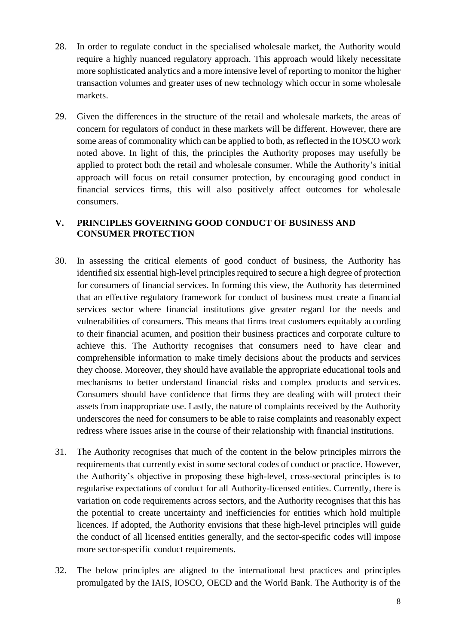- 28. In order to regulate conduct in the specialised wholesale market, the Authority would require a highly nuanced regulatory approach. This approach would likely necessitate more sophisticated analytics and a more intensive level of reporting to monitor the higher transaction volumes and greater uses of new technology which occur in some wholesale markets.
- 29. Given the differences in the structure of the retail and wholesale markets, the areas of concern for regulators of conduct in these markets will be different. However, there are some areas of commonality which can be applied to both, as reflected in the IOSCO work noted above. In light of this, the principles the Authority proposes may usefully be applied to protect both the retail and wholesale consumer. While the Authority's initial approach will focus on retail consumer protection, by encouraging good conduct in financial services firms, this will also positively affect outcomes for wholesale consumers.

## **V. PRINCIPLES GOVERNING GOOD CONDUCT OF BUSINESS AND CONSUMER PROTECTION**

- 30. In assessing the critical elements of good conduct of business, the Authority has identified six essential high-level principles required to secure a high degree of protection for consumers of financial services. In forming this view, the Authority has determined that an effective regulatory framework for conduct of business must create a financial services sector where financial institutions give greater regard for the needs and vulnerabilities of consumers. This means that firms treat customers equitably according to their financial acumen, and position their business practices and corporate culture to achieve this. The Authority recognises that consumers need to have clear and comprehensible information to make timely decisions about the products and services they choose. Moreover, they should have available the appropriate educational tools and mechanisms to better understand financial risks and complex products and services. Consumers should have confidence that firms they are dealing with will protect their assets from inappropriate use. Lastly, the nature of complaints received by the Authority underscores the need for consumers to be able to raise complaints and reasonably expect redress where issues arise in the course of their relationship with financial institutions.
- 31. The Authority recognises that much of the content in the below principles mirrors the requirements that currently exist in some sectoral codes of conduct or practice. However, the Authority's objective in proposing these high-level, cross-sectoral principles is to regularise expectations of conduct for all Authority-licensed entities. Currently, there is variation on code requirements across sectors, and the Authority recognises that this has the potential to create uncertainty and inefficiencies for entities which hold multiple licences. If adopted, the Authority envisions that these high-level principles will guide the conduct of all licensed entities generally, and the sector-specific codes will impose more sector-specific conduct requirements.
- 32. The below principles are aligned to the international best practices and principles promulgated by the IAIS, IOSCO, OECD and the World Bank. The Authority is of the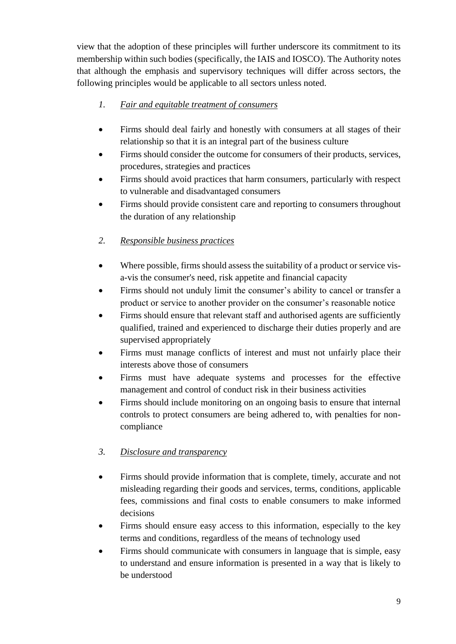view that the adoption of these principles will further underscore its commitment to its membership within such bodies (specifically, the IAIS and IOSCO). The Authority notes that although the emphasis and supervisory techniques will differ across sectors, the following principles would be applicable to all sectors unless noted.

- *1. Fair and equitable treatment of consumers*
- Firms should deal fairly and honestly with consumers at all stages of their relationship so that it is an integral part of the business culture
- Firms should consider the outcome for consumers of their products, services, procedures, strategies and practices
- Firms should avoid practices that harm consumers, particularly with respect to vulnerable and disadvantaged consumers
- Firms should provide consistent care and reporting to consumers throughout the duration of any relationship
- *2. Responsible business practices*
- Where possible, firms should assess the suitability of a product or service visa-vis the consumer's need, risk appetite and financial capacity
- Firms should not unduly limit the consumer's ability to cancel or transfer a product or service to another provider on the consumer's reasonable notice
- Firms should ensure that relevant staff and authorised agents are sufficiently qualified, trained and experienced to discharge their duties properly and are supervised appropriately
- Firms must manage conflicts of interest and must not unfairly place their interests above those of consumers
- Firms must have adequate systems and processes for the effective management and control of conduct risk in their business activities
- Firms should include monitoring on an ongoing basis to ensure that internal controls to protect consumers are being adhered to, with penalties for noncompliance
- *3. Disclosure and transparency*
- Firms should provide information that is complete, timely, accurate and not misleading regarding their goods and services, terms, conditions, applicable fees, commissions and final costs to enable consumers to make informed decisions
- Firms should ensure easy access to this information, especially to the key terms and conditions, regardless of the means of technology used
- Firms should communicate with consumers in language that is simple, easy to understand and ensure information is presented in a way that is likely to be understood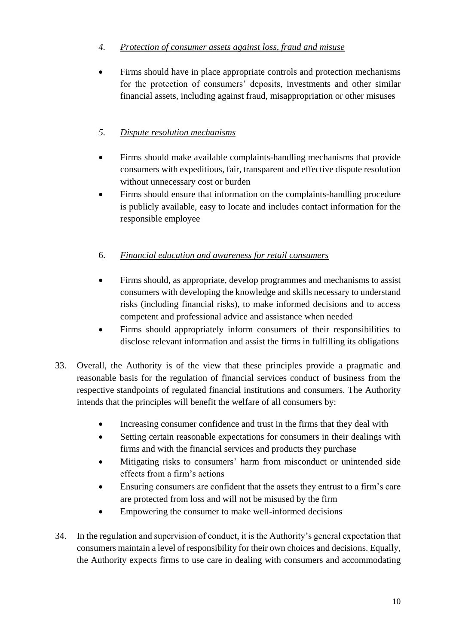## *4. Protection of consumer assets against loss, fraud and misuse*

 Firms should have in place appropriate controls and protection mechanisms for the protection of consumers' deposits, investments and other similar financial assets, including against fraud, misappropriation or other misuses

## *5. Dispute resolution mechanisms*

- Firms should make available complaints-handling mechanisms that provide consumers with expeditious, fair, transparent and effective dispute resolution without unnecessary cost or burden
- Firms should ensure that information on the complaints-handling procedure is publicly available, easy to locate and includes contact information for the responsible employee

## 6. *Financial education and awareness for retail consumers*

- Firms should, as appropriate, develop programmes and mechanisms to assist consumers with developing the knowledge and skills necessary to understand risks (including financial risks), to make informed decisions and to access competent and professional advice and assistance when needed
- Firms should appropriately inform consumers of their responsibilities to disclose relevant information and assist the firms in fulfilling its obligations
- 33. Overall, the Authority is of the view that these principles provide a pragmatic and reasonable basis for the regulation of financial services conduct of business from the respective standpoints of regulated financial institutions and consumers. The Authority intends that the principles will benefit the welfare of all consumers by:
	- Increasing consumer confidence and trust in the firms that they deal with
	- Setting certain reasonable expectations for consumers in their dealings with firms and with the financial services and products they purchase
	- Mitigating risks to consumers' harm from misconduct or unintended side effects from a firm's actions
	- Ensuring consumers are confident that the assets they entrust to a firm's care are protected from loss and will not be misused by the firm
	- Empowering the consumer to make well-informed decisions
- 34. In the regulation and supervision of conduct, it is the Authority's general expectation that consumers maintain a level of responsibility for their own choices and decisions. Equally, the Authority expects firms to use care in dealing with consumers and accommodating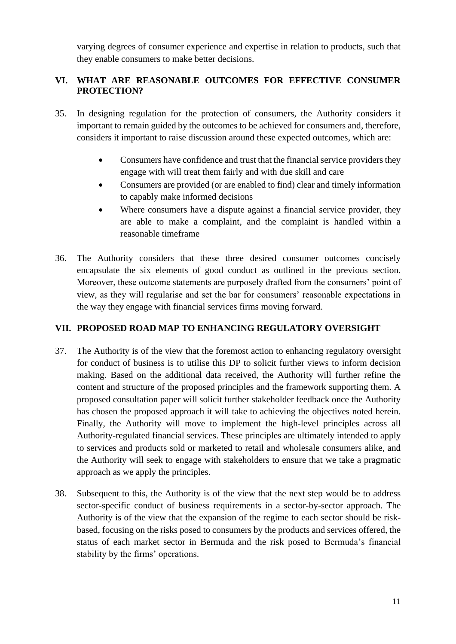varying degrees of consumer experience and expertise in relation to products, such that they enable consumers to make better decisions.

## **VI. WHAT ARE REASONABLE OUTCOMES FOR EFFECTIVE CONSUMER PROTECTION?**

- 35. In designing regulation for the protection of consumers, the Authority considers it important to remain guided by the outcomes to be achieved for consumers and, therefore, considers it important to raise discussion around these expected outcomes, which are:
	- Consumers have confidence and trust that the financial service providers they engage with will treat them fairly and with due skill and care
	- Consumers are provided (or are enabled to find) clear and timely information to capably make informed decisions
	- Where consumers have a dispute against a financial service provider, they are able to make a complaint, and the complaint is handled within a reasonable timeframe
- 36. The Authority considers that these three desired consumer outcomes concisely encapsulate the six elements of good conduct as outlined in the previous section. Moreover, these outcome statements are purposely drafted from the consumers' point of view, as they will regularise and set the bar for consumers' reasonable expectations in the way they engage with financial services firms moving forward.

## **VII. PROPOSED ROAD MAP TO ENHANCING REGULATORY OVERSIGHT**

- 37. The Authority is of the view that the foremost action to enhancing regulatory oversight for conduct of business is to utilise this DP to solicit further views to inform decision making. Based on the additional data received, the Authority will further refine the content and structure of the proposed principles and the framework supporting them. A proposed consultation paper will solicit further stakeholder feedback once the Authority has chosen the proposed approach it will take to achieving the objectives noted herein. Finally, the Authority will move to implement the high-level principles across all Authority-regulated financial services. These principles are ultimately intended to apply to services and products sold or marketed to retail and wholesale consumers alike, and the Authority will seek to engage with stakeholders to ensure that we take a pragmatic approach as we apply the principles.
- 38. Subsequent to this, the Authority is of the view that the next step would be to address sector-specific conduct of business requirements in a sector-by-sector approach. The Authority is of the view that the expansion of the regime to each sector should be riskbased, focusing on the risks posed to consumers by the products and services offered, the status of each market sector in Bermuda and the risk posed to Bermuda's financial stability by the firms' operations.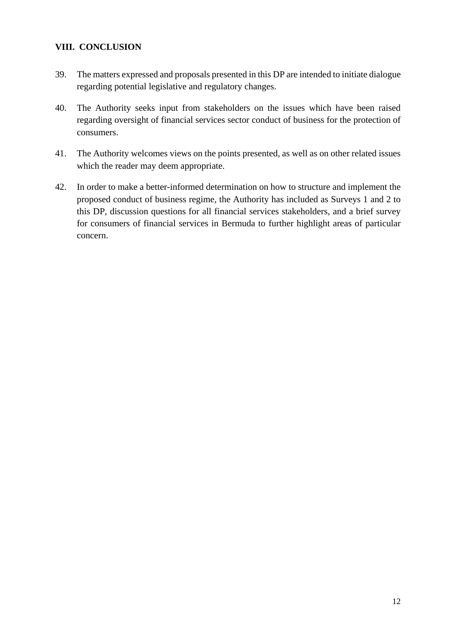## **VIII. CONCLUSION**

- 39. The matters expressed and proposals presented in this DP are intended to initiate dialogue regarding potential legislative and regulatory changes.
- 40. The Authority seeks input from stakeholders on the issues which have been raised regarding oversight of financial services sector conduct of business for the protection of consumers.
- 41. The Authority welcomes views on the points presented, as well as on other related issues which the reader may deem appropriate.
- 42. In order to make a better-informed determination on how to structure and implement the proposed conduct of business regime, the Authority has included as Surveys 1 and 2 to this DP, discussion questions for all financial services stakeholders, and a brief survey for consumers of financial services in Bermuda to further highlight areas of particular concern.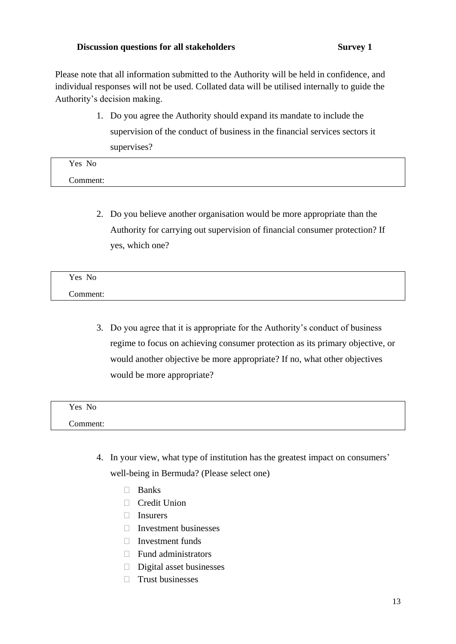#### **Discussion** questions for all stakeholders Survey 1

Please note that all information submitted to the Authority will be held in confidence, and individual responses will not be used. Collated data will be utilised internally to guide the Authority's decision making.

> 1. Do you agree the Authority should expand its mandate to include the supervision of the conduct of business in the financial services sectors it supervises?

| Yes No        |  |  |  |
|---------------|--|--|--|
| ⌒<br>Comment: |  |  |  |

2. Do you believe another organisation would be more appropriate than the Authority for carrying out supervision of financial consumer protection? If yes, which one?

| Yes No   |  |  |  |
|----------|--|--|--|
| Comment: |  |  |  |

3. Do you agree that it is appropriate for the Authority's conduct of business regime to focus on achieving consumer protection as its primary objective, or would another objective be more appropriate? If no, what other objectives would be more appropriate?

| Yes No   |
|----------|
| Comment: |

- 4. In your view, what type of institution has the greatest impact on consumers' well-being in Bermuda? (Please select one)
	- Banks
	- □ Credit Union
	- Insurers
	- $\Box$  Investment businesses
	- $\Box$  Investment funds
	- $\Box$  Fund administrators
	- $\square$  Digital asset businesses
	- $\Box$  Trust businesses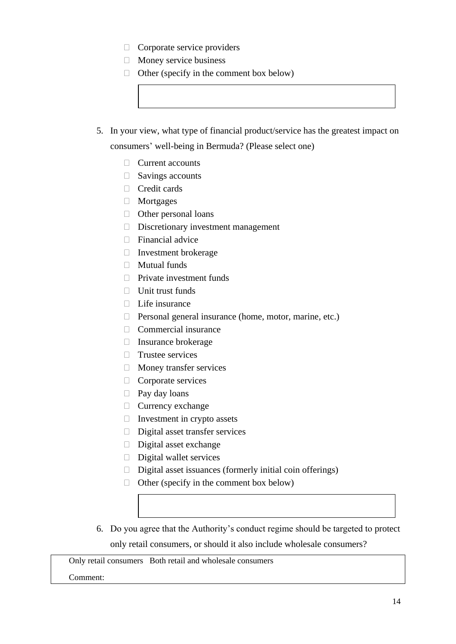- $\Box$  Corporate service providers
- $\Box$  Money service business
- $\Box$  Other (specify in the comment box below)
- 5. In your view, what type of financial product/service has the greatest impact on

consumers' well-being in Bermuda? (Please select one)

- $\Box$  Current accounts
- $\Box$  Savings accounts
- Credit cards
- Mortgages
- $\Box$  Other personal loans
- $\Box$  Discretionary investment management
- $\Box$  Financial advice
- $\Box$  Investment brokerage
- $\Box$  Mutual funds
- $\Box$  Private investment funds
- $\Box$  Unit trust funds
- $\Box$  Life insurance
- $\Box$  Personal general insurance (home, motor, marine, etc.)
- $\Box$  Commercial insurance
- $\Box$  Insurance brokerage
- Trustee services
- $\Box$  Money transfer services
- $\Box$  Corporate services
- $\Box$  Pay day loans
- $\Box$  Currency exchange
- $\Box$  Investment in crypto assets
- Digital asset transfer services
- $\Box$  Digital asset exchange
- $\Box$  Digital wallet services
- $\Box$  Digital asset issuances (formerly initial coin offerings)
- $\Box$  Other (specify in the comment box below)
- 6. Do you agree that the Authority's conduct regime should be targeted to protect only retail consumers, or should it also include wholesale consumers?

Only retail consumers Both retail and wholesale consumers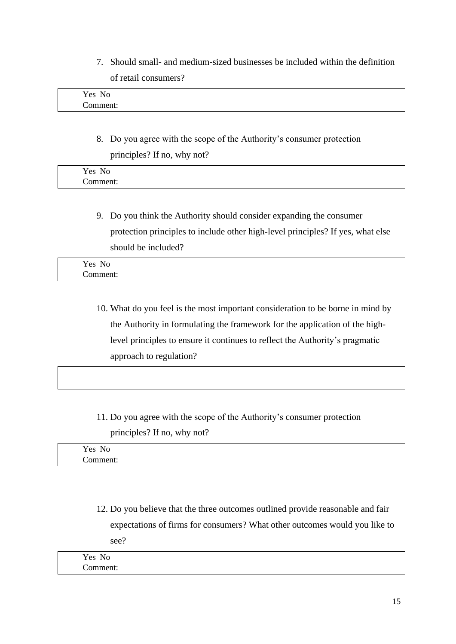7. Should small- and medium-sized businesses be included within the definition of retail consumers?

| Yes<br>No |  |
|-----------|--|
| comment:  |  |

8. Do you agree with the scope of the Authority's consumer protection principles? If no, why not?

| Yes<br>- -<br>N <sub>0</sub> |  |
|------------------------------|--|
| ∼<br>nn<br>1 I E<br>лι       |  |

9. Do you think the Authority should consider expanding the consumer protection principles to include other high-level principles? If yes, what else should be included?

| Yes<br>$N_{\Omega}$<br>11 O       |  |
|-----------------------------------|--|
| $\tilde{\phantom{a}}$<br>Comment: |  |

- 10. What do you feel is the most important consideration to be borne in mind by the Authority in formulating the framework for the application of the highlevel principles to ensure it continues to reflect the Authority's pragmatic approach to regulation?
- 11. Do you agree with the scope of the Authority's consumer protection principles? If no, why not?

| - -<br>$ -$<br>N∩<br>es.<br>- 11. |  |  |
|-----------------------------------|--|--|
| $\cdots$<br>unent.                |  |  |

12. Do you believe that the three outcomes outlined provide reasonable and fair expectations of firms for consumers? What other outcomes would you like to see?

| Yes<br>No     |  |
|---------------|--|
| ∼<br>:omment: |  |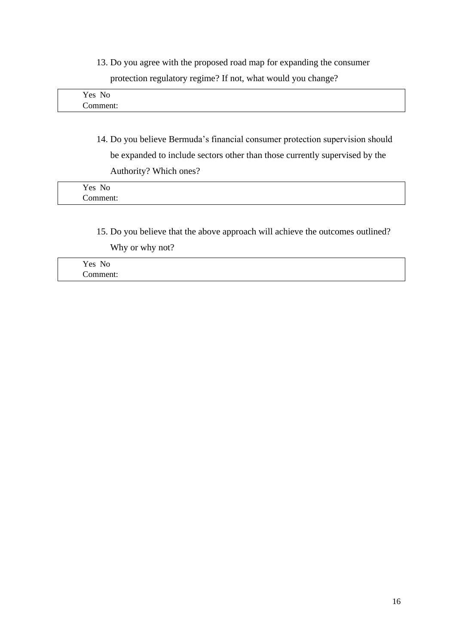13. Do you agree with the proposed road map for expanding the consumer protection regulatory regime? If not, what would you change?

| Yes No        |  |
|---------------|--|
| ∼<br>comment: |  |

14. Do you believe Bermuda's financial consumer protection supervision should be expanded to include sectors other than those currently supervised by the Authority? Which ones?

| Yes No             |  |  |
|--------------------|--|--|
| $\sim$<br>Comment: |  |  |

15. Do you believe that the above approach will achieve the outcomes outlined?

Why or why not?

Yes No Comment: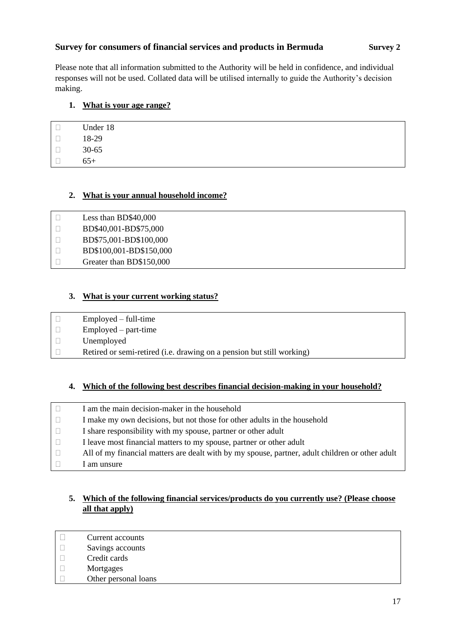### **Survey for consumers of financial services and products in Bermuda <b>Survey** 2

Please note that all information submitted to the Authority will be held in confidence, and individual responses will not be used. Collated data will be utilised internally to guide the Authority's decision making.

#### **1. What is your age range?**

|              | Under 18 |
|--------------|----------|
| $\mathbf{I}$ | 18-29    |
|              | 30-65    |
|              | $65+$    |

#### **2. What is your annual household income?**

| H            | Less than BD\$40,000     |
|--------------|--------------------------|
| $\Box$       | BD\$40,001-BD\$75,000    |
| $\Box$       | BD\$75,001-BD\$100,000   |
| $\Box$       | BD\$100,001-BD\$150,000  |
| $\mathbf{1}$ | Greater than BD\$150,000 |

#### **3. What is your current working status?**

- $\Box$  Employed full-time  $\Box$  Employed – part-time
- Unemployed
- $\Box$  Retired or semi-retired (i.e. drawing on a pension but still working)

#### **4. Which of the following best describes financial decision-making in your household?**

| I am the main decision-maker in the household                                                   |
|-------------------------------------------------------------------------------------------------|
| I make my own decisions, but not those for other adults in the household                        |
| I share responsibility with my spouse, partner or other adult                                   |
| I leave most financial matters to my spouse, partner or other adult                             |
| All of my financial matters are dealt with by my spouse, partner, adult children or other adult |
| am unsure                                                                                       |

### **5. Which of the following financial services/products do you currently use? (Please choose all that apply)**

- $\Box$  Current accounts
- $\Box$  Savings accounts
- D Credit cards
- Mortgages
- Other personal loans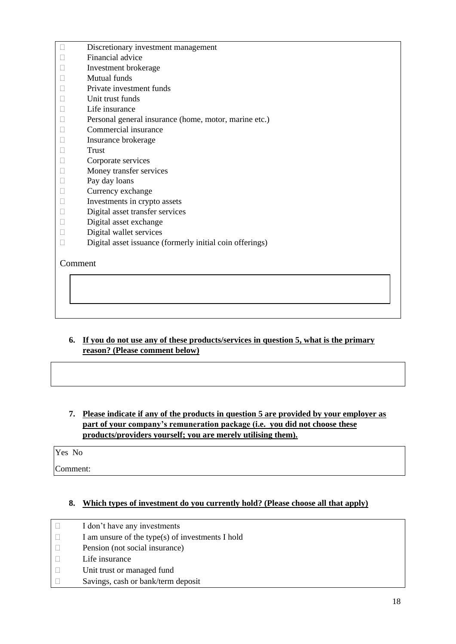- $\square$  Discretionary investment management
- $\Box$  Financial advice
- Investment brokerage
- Mutual funds
- $\neg$  Private investment funds
- $\Box$  Unit trust funds
- $\Box$  Life insurance
- $\Box$  Personal general insurance (home, motor, marine etc.)
- Commercial insurance
- Insurance brokerage
- □ Trust
- Corporate services
- **Money transfer services**
- $\Box$  Pay day loans
- D Currency exchange
- $\Box$  Investments in crypto assets
- Digital asset transfer services
- Digital asset exchange
- $\square$  Digital wallet services
- $\square$  Digital asset issuance (formerly initial coin offerings)

#### Comment

#### **6. If you do not use any of these products/services in question 5, what is the primary reason? (Please comment below)**

**7. Please indicate if any of the products in question 5 are provided by your employer as part of your company's remuneration package (i.e. you did not choose these products/providers yourself; you are merely utilising them).**

Yes No

Comment:

#### **8. Which types of investment do you currently hold? (Please choose all that apply)**

 $\Box$  I don't have any investments  $\Box$  I am unsure of the type(s) of investments I hold □ Pension (not social insurance)  $\Box$  Life insurance Unit trust or managed fund  $\Box$  Savings, cash or bank/term deposit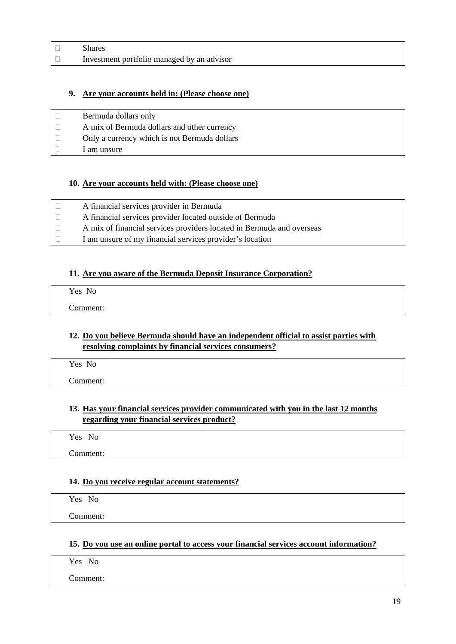| <b>Shares</b>                              |
|--------------------------------------------|
| Investment portfolio managed by an advisor |

#### **9. Are your accounts held in: (Please choose one)**

| Bermuda dollars only                         |
|----------------------------------------------|
| A mix of Bermuda dollars and other currency  |
| Only a currency which is not Bermuda dollars |
| 1 am unsure                                  |

#### **10. Are your accounts held with: (Please choose one)**

| A financial services provider in Bermuda                              |
|-----------------------------------------------------------------------|
| A financial services provider located outside of Bermuda              |
| A mix of financial services providers located in Bermuda and overseas |
| I am unsure of my financial services provider's location              |

#### **11. Are you aware of the Bermuda Deposit Insurance Corporation?**

| Yes No   |  |  |  |
|----------|--|--|--|
| Comment: |  |  |  |

#### **12. Do you believe Bermuda should have an independent official to assist parties with resolving complaints by financial services consumers?**

Yes No

Comment:

#### **13. Has your financial services provider communicated with you in the last 12 months regarding your financial services product?**

Yes No

Comment:

## **14. Do you receive regular account statements?**

Yes No Comment:

#### **15. Do you use an online portal to access your financial services account information?**

Yes No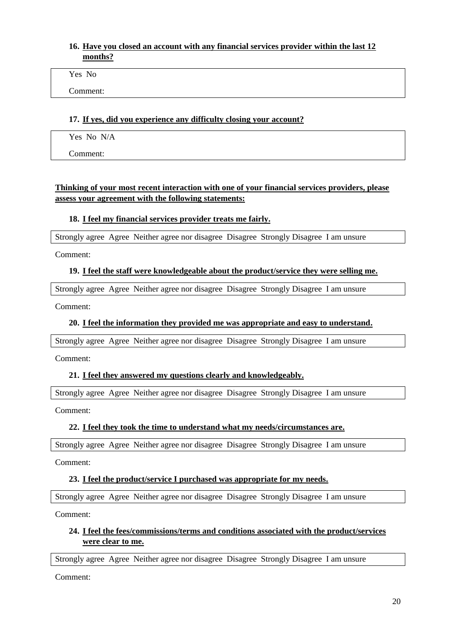#### **16. Have you closed an account with any financial services provider within the last 12 months?**

Yes No

Comment:

#### **17. If yes, did you experience any difficulty closing your account?**

Yes No N/A

Comment:

#### **Thinking of your most recent interaction with one of your financial services providers, please assess your agreement with the following statements:**

#### **18. I feel my financial services provider treats me fairly.**

Strongly agree Agree Neither agree nor disagree Disagree Strongly Disagree I am unsure

Comment:

#### **19. I feel the staff were knowledgeable about the product/service they were selling me.**

Strongly agree Agree Neither agree nor disagree Disagree Strongly Disagree I am unsure

Comment:

#### **20. I feel the information they provided me was appropriate and easy to understand.**

Strongly agree Agree Neither agree nor disagree Disagree Strongly Disagree I am unsure

Comment:

#### **21. I feel they answered my questions clearly and knowledgeably.**

Strongly agree Agree Neither agree nor disagree Disagree Strongly Disagree I am unsure

Comment:

#### **22. I feel they took the time to understand what my needs/circumstances are.**

Strongly agree Agree Neither agree nor disagree Disagree Strongly Disagree I am unsure

Comment:

#### **23. I feel the product/service I purchased was appropriate for my needs.**

Strongly agree Agree Neither agree nor disagree Disagree Strongly Disagree I am unsure

Comment:

#### **24. I feel the fees/commissions/terms and conditions associated with the product/services were clear to me.**

Strongly agree Agree Neither agree nor disagree Disagree Strongly Disagree I am unsure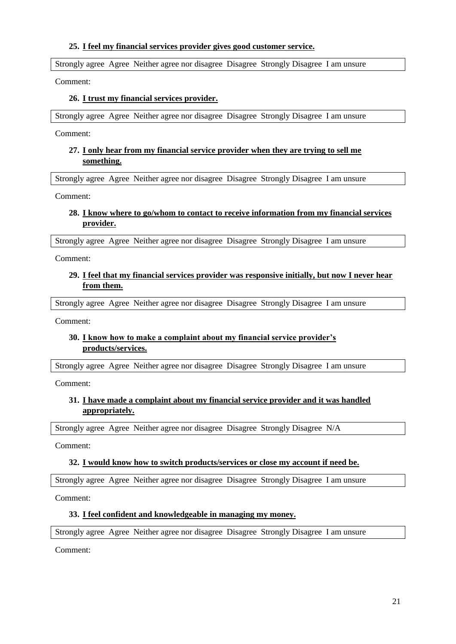#### **25. I feel my financial services provider gives good customer service.**

Strongly agree Agree Neither agree nor disagree Disagree Strongly Disagree I am unsure

Comment:

#### **26. I trust my financial services provider.**

Strongly agree Agree Neither agree nor disagree Disagree Strongly Disagree I am unsure

Comment:

#### **27. I only hear from my financial service provider when they are trying to sell me something.**

Strongly agree Agree Neither agree nor disagree Disagree Strongly Disagree I am unsure

Comment:

#### **28. I know where to go/whom to contact to receive information from my financial services provider.**

Strongly agree Agree Neither agree nor disagree Disagree Strongly Disagree I am unsure

Comment:

#### **29. I feel that my financial services provider was responsive initially, but now I never hear from them.**

Strongly agree Agree Neither agree nor disagree Disagree Strongly Disagree I am unsure

Comment:

#### **30. I know how to make a complaint about my financial service provider's products/services.**

Strongly agree Agree Neither agree nor disagree Disagree Strongly Disagree I am unsure

Comment:

## **31. I have made a complaint about my financial service provider and it was handled appropriately.**

Strongly agree Agree Neither agree nor disagree Disagree Strongly Disagree N/A

Comment:

#### **32. I would know how to switch products/services or close my account if need be.**

Strongly agree Agree Neither agree nor disagree Disagree Strongly Disagree I am unsure

Comment:

#### **33. I feel confident and knowledgeable in managing my money.**

Strongly agree Agree Neither agree nor disagree Disagree Strongly Disagree I am unsure